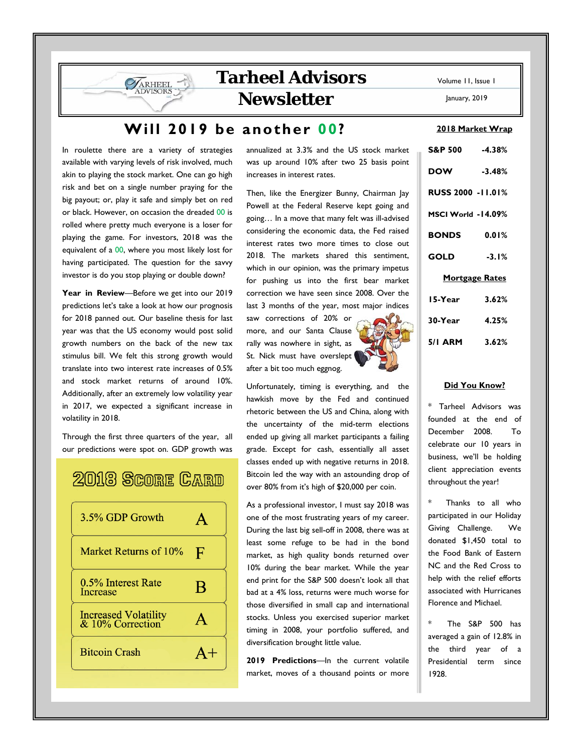## **Tarheel Advisors Newsletter**

## **Will 2019 be another 00?**

In roulette there are a variety of strategies available with varying levels of risk involved, much akin to playing the stock market. One can go high risk and bet on a single number praying for the big payout; or, play it safe and simply bet on red or black. However, on occasion the dreaded 00 is rolled where pretty much everyone is a loser for playing the game. For investors, 2018 was the equivalent of a 00, where you most likely lost for having participated. The question for the savvy investor is do you stop playing or double down?

ARHEEL

**Year in Review**—Before we get into our 2019 predictions let's take a look at how our prognosis for 2018 panned out. Our baseline thesis for last year was that the US economy would post solid growth numbers on the back of the new tax stimulus bill. We felt this strong growth would translate into two interest rate increases of 0.5% and stock market returns of around 10%. Additionally, after an extremely low volatility year in 2017, we expected a significant increase in volatility in 2018.

Through the first three quarters of the year, all our predictions were spot on. GDP growth was

# 2018 Score CARD



annualized at 3.3% and the US stock market was up around 10% after two 25 basis point increases in interest rates.

Then, like the Energizer Bunny, Chairman Jay Powell at the Federal Reserve kept going and going… In a move that many felt was ill-advised considering the economic data, the Fed raised interest rates two more times to close out 2018. The markets shared this sentiment, which in our opinion, was the primary impetus for pushing us into the first bear market correction we have seen since 2008. Over the last 3 months of the year, most major indices

saw corrections of 20% or more, and our Santa Clause rally was nowhere in sight, as St. Nick must have overslept after a bit too much eggnog.

Unfortunately, timing is everything, and the hawkish move by the Fed and continued rhetoric between the US and China, along with the uncertainty of the mid-term elections ended up giving all market participants a failing grade. Except for cash, essentially all asset classes ended up with negative returns in 2018. Bitcoin led the way with an astounding drop of over 80% from it's high of \$20,000 per coin.

As a professional investor, I must say 2018 was one of the most frustrating years of my career. During the last big sell-off in 2008, there was at least some refuge to be had in the bond market, as high quality bonds returned over 10% during the bear market. While the year end print for the S&P 500 doesn't look all that bad at a 4% loss, returns were much worse for those diversified in small cap and international stocks. Unless you exercised superior market timing in 2008, your portfolio suffered, and diversification brought little value.

**2019 Predictions**—In the current volatile market, moves of a thousand points or more Volume 11, Issue 1

January, 2019

#### **2018 Market Wrap**

| S&P 500 -4.38%           |  |  |  |
|--------------------------|--|--|--|
| $-3.48%$                 |  |  |  |
| <b>RUSS 2000 -11.01%</b> |  |  |  |
| MSCI World -14.09%       |  |  |  |
| <b>BONDS</b><br>0.01%    |  |  |  |
| $-3.1%$                  |  |  |  |
| <u>Mortgage Rates</u>    |  |  |  |
| 3.62%                    |  |  |  |
| 4.25%                    |  |  |  |
| 5/1 ARM 3.62%            |  |  |  |
|                          |  |  |  |

#### **Did You Know?**

\* Tarheel Advisors was founded at the end of December 2008. To celebrate our 10 years in business, we'll be holding client appreciation events throughout the year!

Thanks to all who participated in our Holiday Giving Challenge. We donated \$1,450 total to the Food Bank of Eastern NC and the Red Cross to help with the relief efforts associated with Hurricanes Florence and Michael.

The S&P 500 has averaged a gain of 12.8% in the third year of a Presidential term since 1928.